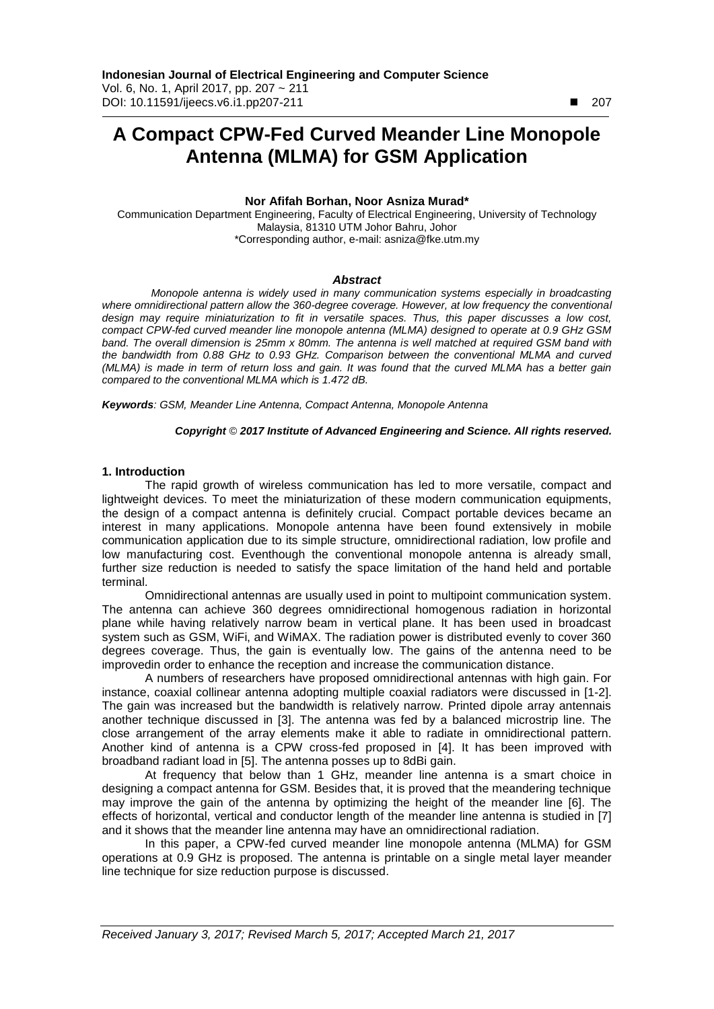# **A Compact CPW-Fed Curved Meander Line Monopole Antenna (MLMA) for GSM Application**

# **Nor Afifah Borhan, Noor Asniza Murad\***

Communication Department Engineering, Faculty of Electrical Engineering, University of Technology Malaysia, 81310 UTM Johor Bahru, Johor \*Corresponding author, e-mail: asniza@fke.utm.my

## *Abstract*

*Monopole antenna is widely used in many communication systems especially in broadcasting*  where omnidirectional pattern allow the 360-degree coverage. However, at low frequency the conventional *design may require miniaturization to fit in versatile spaces. Thus, this paper discusses a low cost, compact CPW-fed curved meander line monopole antenna (MLMA) designed to operate at 0.9 GHz GSM band. The overall dimension is 25mm x 80mm. The antenna is well matched at required GSM band with the bandwidth from 0.88 GHz to 0.93 GHz. Comparison between the conventional MLMA and curved (MLMA) is made in term of return loss and gain. It was found that the curved MLMA has a better gain compared to the conventional MLMA which is 1.472 dB.*

*Keywords: GSM, Meander Line Antenna, Compact Antenna, Monopole Antenna*

## *Copyright* © *2017 Institute of Advanced Engineering and Science. All rights reserved.*

## **1. Introduction**

The rapid growth of wireless communication has led to more versatile, compact and lightweight devices. To meet the miniaturization of these modern communication equipments, the design of a compact antenna is definitely crucial. Compact portable devices became an interest in many applications. Monopole antenna have been found extensively in mobile communication application due to its simple structure, omnidirectional radiation, low profile and low manufacturing cost. Eventhough the conventional monopole antenna is already small, further size reduction is needed to satisfy the space limitation of the hand held and portable terminal.

Omnidirectional antennas are usually used in point to multipoint communication system. The antenna can achieve 360 degrees omnidirectional homogenous radiation in horizontal plane while having relatively narrow beam in vertical plane. It has been used in broadcast system such as GSM, WiFi, and WiMAX. The radiation power is distributed evenly to cover 360 degrees coverage. Thus, the gain is eventually low. The gains of the antenna need to be improvedin order to enhance the reception and increase the communication distance.

A numbers of researchers have proposed omnidirectional antennas with high gain. For instance, coaxial collinear antenna adopting multiple coaxial radiators were discussed in [1-2]. The gain was increased but the bandwidth is relatively narrow. Printed dipole array antennais another technique discussed in [3]. The antenna was fed by a balanced microstrip line. The close arrangement of the array elements make it able to radiate in omnidirectional pattern. Another kind of antenna is a CPW cross-fed proposed in [4]. It has been improved with broadband radiant load in [5]. The antenna posses up to 8dBi gain.

At frequency that below than 1 GHz, meander line antenna is a smart choice in designing a compact antenna for GSM. Besides that, it is proved that the meandering technique may improve the gain of the antenna by optimizing the height of the meander line [6]. The effects of horizontal, vertical and conductor length of the meander line antenna is studied in [7] and it shows that the meander line antenna may have an omnidirectional radiation.

In this paper, a CPW-fed curved meander line monopole antenna (MLMA) for GSM operations at 0.9 GHz is proposed. The antenna is printable on a single metal layer meander line technique for size reduction purpose is discussed.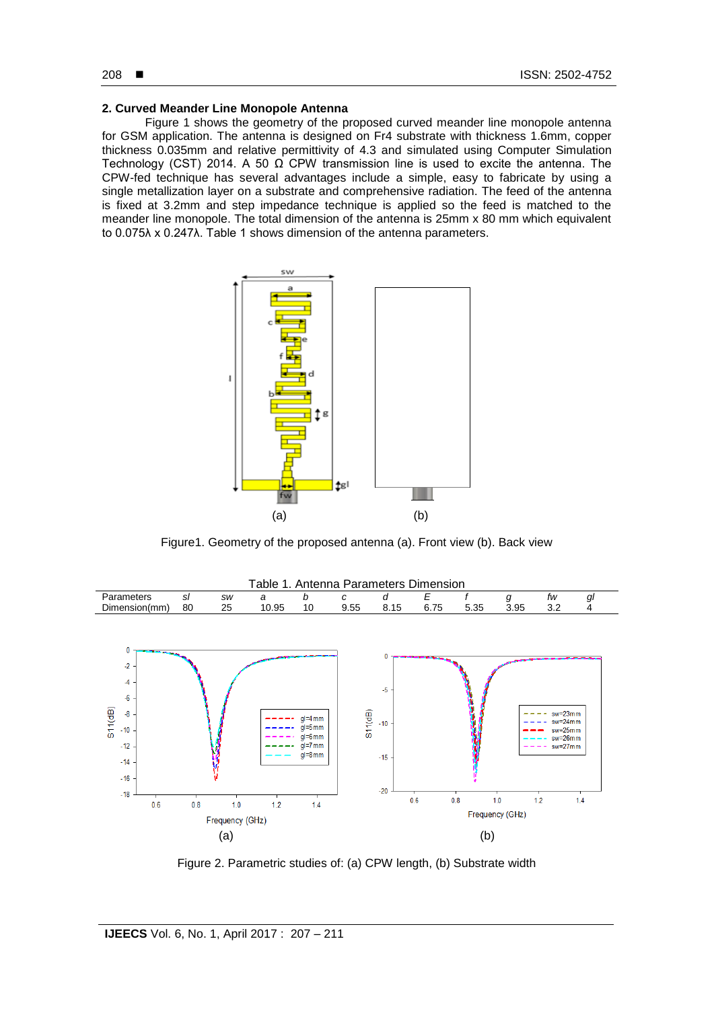#### 208 **■**

## **2. Curved Meander Line Monopole Antenna**

Figure 1 shows the geometry of the proposed curved meander line monopole antenna for GSM application. The antenna is designed on Fr4 substrate with thickness 1.6mm, copper thickness 0.035mm and relative permittivity of 4.3 and simulated using Computer Simulation Technology (CST) 2014. A 50  $\Omega$  CPW transmission line is used to excite the antenna. The CPW-fed technique has several advantages include a simple, easy to fabricate by using a single metallization layer on a substrate and comprehensive radiation. The feed of the antenna is fixed at 3.2mm and step impedance technique is applied so the feed is matched to the meander line monopole. The total dimension of the antenna is 25mm x 80 mm which equivalent to 0.075λ x 0.247λ. Table 1 shows dimension of the antenna parameters.



Figure1. Geometry of the proposed antenna (a). Front view (b). Back view



Figure 2. Parametric studies of: (a) CPW length, (b) Substrate width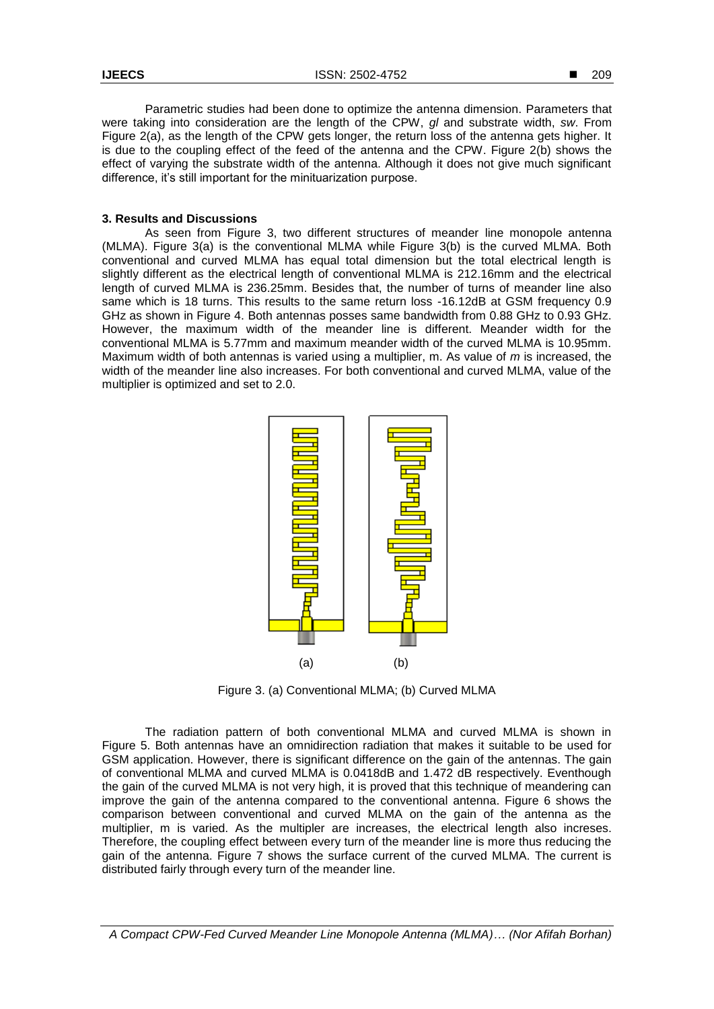Parametric studies had been done to optimize the antenna dimension. Parameters that were taking into consideration are the length of the CPW, *gl* and substrate width, *sw*. From Figure 2(a), as the length of the CPW gets longer, the return loss of the antenna gets higher. It is due to the coupling effect of the feed of the antenna and the CPW. Figure 2(b) shows the effect of varying the substrate width of the antenna. Although it does not give much significant difference, it's still important for the minituarization purpose.

# **3. Results and Discussions**

As seen from Figure 3, two different structures of meander line monopole antenna (MLMA). Figure 3(a) is the conventional MLMA while Figure 3(b) is the curved MLMA. Both conventional and curved MLMA has equal total dimension but the total electrical length is slightly different as the electrical length of conventional MLMA is 212.16mm and the electrical length of curved MLMA is 236.25mm. Besides that, the number of turns of meander line also same which is 18 turns. This results to the same return loss -16.12dB at GSM frequency 0.9 GHz as shown in Figure 4. Both antennas posses same bandwidth from 0.88 GHz to 0.93 GHz. However, the maximum width of the meander line is different. Meander width for the conventional MLMA is 5.77mm and maximum meander width of the curved MLMA is 10.95mm. Maximum width of both antennas is varied using a multiplier, m. As value of *m* is increased, the width of the meander line also increases. For both conventional and curved MLMA, value of the multiplier is optimized and set to 2.0.



Figure 3. (a) Conventional MLMA; (b) Curved MLMA

The radiation pattern of both conventional MLMA and curved MLMA is shown in Figure 5. Both antennas have an omnidirection radiation that makes it suitable to be used for GSM application. However, there is significant difference on the gain of the antennas. The gain of conventional MLMA and curved MLMA is 0.0418dB and 1.472 dB respectively. Eventhough the gain of the curved MLMA is not very high, it is proved that this technique of meandering can improve the gain of the antenna compared to the conventional antenna. Figure 6 shows the comparison between conventional and curved MLMA on the gain of the antenna as the multiplier, m is varied. As the multipler are increases, the electrical length also increses. Therefore, the coupling effect between every turn of the meander line is more thus reducing the gain of the antenna. Figure 7 shows the surface current of the curved MLMA. The current is distributed fairly through every turn of the meander line.

*A Compact CPW-Fed Curved Meander Line Monopole Antenna (MLMA)… (Nor Afifah Borhan)*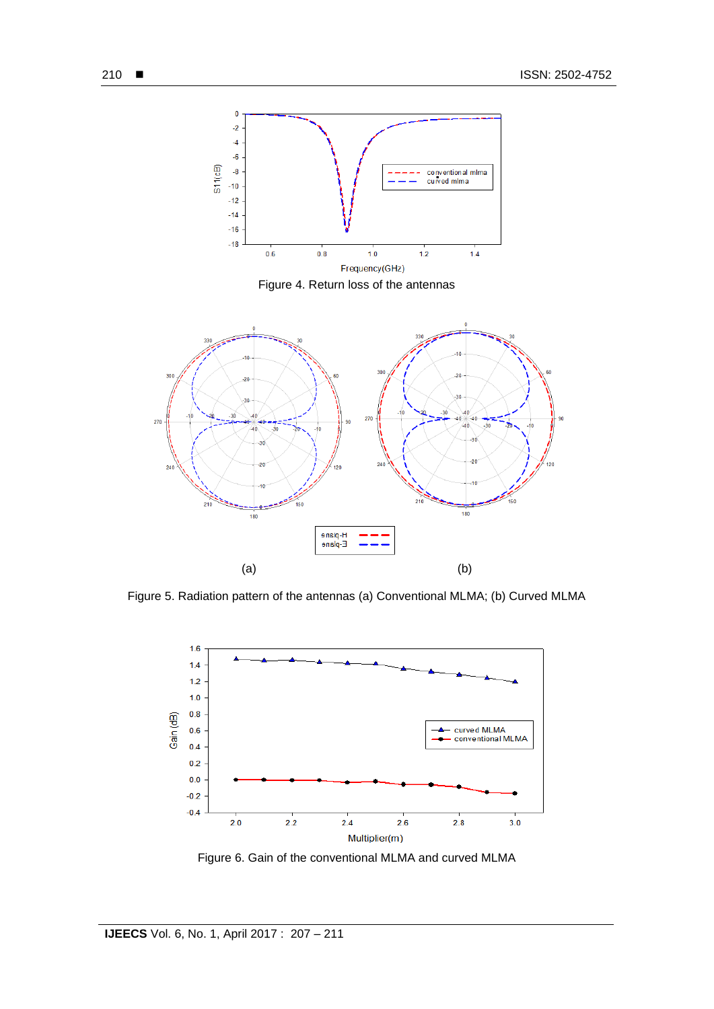

Figure 4. Return loss of the antennas



Figure 5. Radiation pattern of the antennas (a) Conventional MLMA; (b) Curved MLMA



Figure 6. Gain of the conventional MLMA and curved MLMA